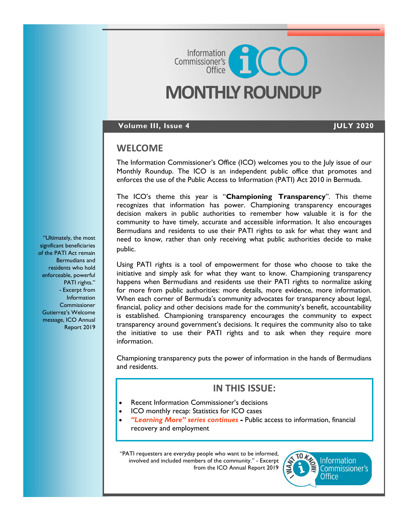# **MONTHLY ROUNDUP**

Commissioner's<br>Commissioner's

### **Volume III, Issue 4 JULY 2020**

### **WELCOME**

The Information Commissioner's Office (ICO) welcomes you to the July issue of our Monthly Roundup. The ICO is an independent public office that promotes and enforces the use of the Public Access to Information (PATI) Act 2010 in Bermuda.

The ICO's theme this year is "**Championing Transparency**". This theme recognizes that information has power. Championing transparency encourages decision makers in public authorities to remember how valuable it is for the community to have timely, accurate and accessible information. It also encourages Bermudians and residents to use their PATI rights to ask for what they want and need to know, rather than only receiving what public authorities decide to make public.

Using PATI rights is a tool of empowerment for those who choose to take the initiative and simply ask for what they want to know. Championing transparency happens when Bermudians and residents use their PATI rights to normalize asking for more from public authorities: more details, more evidence, more information. When each corner of Bermuda's community advocates for transparency about legal, financial, policy and other decisions made for the community's benefit, accountability is established. Championing transparency encourages the community to expect transparency around government's decisions. It requires the community also to take the initiative to use their PATI rights and to ask when they require more information.

Championing transparency puts the power of information in the hands of Bermudians and residents.

### **IN THIS ISSUE:**

- Recent Information Commissioner's decisions
- ICO monthly recap: Statistics for ICO cases
- *"Learning More" series continues -* Public access to information, financial recovery and employment

"PATI requesters are everyday people who want to be informed, involved and included members of the community." - Excerpt from the ICO Annual Report 2019



"Ultimately, the most significant beneficiaries of the PATI Act remain Bermudians and residents who hold enforceable, powerful PATI rights." - Excerpt from **Information Commissioner** Gutierrez's Welcome message, ICO Annual Report 2019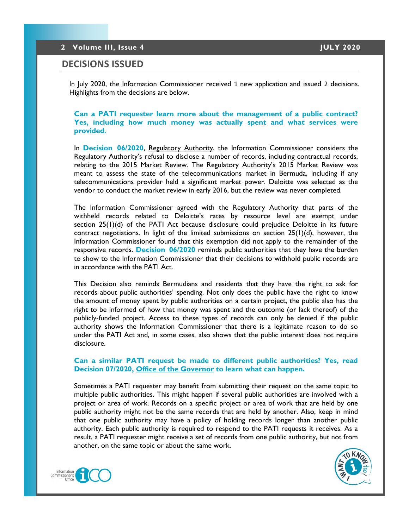### **DECISIONS ISSUED**

In July 2020, the Information Commissioner received 1 new application and issued 2 decisions. Highlights from the decisions are below.

### **Can a PATI requester learn more about the management of a public contract? Yes, including how much money was actually spent and what services were provided.**

In **[Decision 06/2020](https://8692bafe-a59b-4adf-8b95-61e6b6541d57.filesusr.com/ugd/5803dc_fdb7b0f1fa2343cf8cf2f09112851ec2.pdf)**, Regulatory Authority, the Information Commissioner considers the Regulatory Authority's refusal to disclose a number of records, including contractual records, relating to the 2015 Market Review. The Regulatory Authority's 2015 Market Review was meant to assess the state of the telecommunications market in Bermuda, including if any telecommunications provider held a significant market power. Deloitte was selected as the vendor to conduct the market review in early 2016, but the review was never completed.

The Information Commissioner agreed with the Regulatory Authority that parts of the withheld records related to Deloitte's rates by resource level are exempt under section 25(1)(d) of the PATI Act because disclosure could prejudice Deloitte in its future contract negotiations. In light of the limited submissions on section  $25(1)(d)$ , however, the Information Commissioner found that this exemption did not apply to the remainder of the responsive records. **[Decision 06/2020](https://8692bafe-a59b-4adf-8b95-61e6b6541d57.filesusr.com/ugd/5803dc_fdb7b0f1fa2343cf8cf2f09112851ec2.pdf)** reminds public authorities that they have the burden to show to the Information Commissioner that their decisions to withhold public records are in accordance with the PATI Act.

This Decision also reminds Bermudians and residents that they have the right to ask for records about public authorities' spending. Not only does the public have the right to know the amount of money spent by public authorities on a certain project, the public also has the right to be informed of how that money was spent and the outcome (or lack thereof) of the publicly-funded project. Access to these types of records can only be denied if the public authority shows the Information Commissioner that there is a legitimate reason to do so under the PATI Act and, in some cases, also shows that the public interest does not require disclosure.

### **Can a similar PATI request be made to different public authorities? Yes, read Decision 07/2020, Office of the Governor to learn what can happen.**

Sometimes a PATI requester may benefit from submitting their request on the same topic to multiple public authorities. This might happen if several public authorities are involved with a project or area of work. Records on a specific project or area of work that are held by one public authority might not be the same records that are held by another. Also, keep in mind that one public authority may have a policy of holding records longer than another public authority. Each public authority is required to respond to the PATI requests it receives. As a result, a PATI requester might receive a set of records from one public authority, but not from another, on the same topic or about the same work.



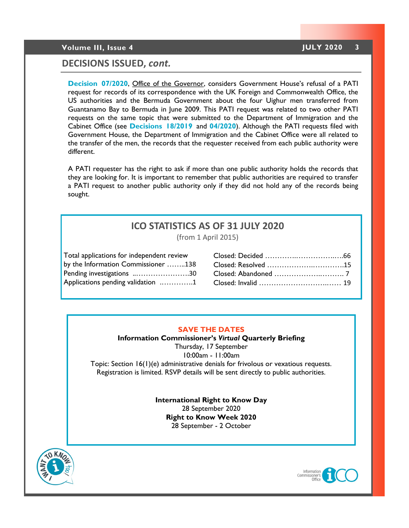### **Volume III, Issue 4 JULY 2020 3**

### **DECISIONS ISSUED,** *cont.*

**[Decision 07/2020](https://8692bafe-a59b-4adf-8b95-61e6b6541d57.filesusr.com/ugd/5803dc_a887095b82194835acb08ad2f1fbd061.pdf)**, Office of the Governor, considers Government House's refusal of a PATI request for records of its correspondence with the UK Foreign and Commonwealth Office, the US authorities and the Bermuda Government about the four Uighur men transferred from Guantanamo Bay to Bermuda in June 2009. This PATI request was related to two other PATI requests on the same topic that were submitted to the Department of Immigration and the Cabinet Office (see **[Decisions 18/2019](https://docs.wixstatic.com/ugd/5803dc_7ed6703fc1aa4a60bea26f01a766b5cc.pdf)** and **[04/2020](https://8692bafe-a59b-4adf-8b95-61e6b6541d57.filesusr.com/ugd/5803dc_7b286d3d4e0646af8c0918646ebf10bb.pdf)**). Although the PATI requests filed with Government House, the Department of Immigration and the Cabinet Office were all related to the transfer of the men, the records that the requester received from each public authority were different.

A PATI requester has the right to ask if more than one public authority holds the records that they are looking for. It is important to remember that public authorities are required to transfer a PATI request to another public authority only if they did not hold any of the records being sought.

## **ICO STATISTICS AS OF 31 JULY 2020**

(from 1 April 2015)

| Total applications for independent review |  |
|-------------------------------------------|--|
| by the Information Commissioner 138       |  |
| Pending investigations 30                 |  |
| Applications pending validation 1         |  |
|                                           |  |

| Closed: Resolved 15 |
|---------------------|
|                     |
|                     |
|                     |

### **SAVE THE DATES**

**Information Commissioner's** *Virtual* **Quarterly Briefing** Thursday, 17 September 10:00am - 11:00am Topic: Section 16(1)(e) administrative denials for frivolous or vexatious requests. Registration is limited. RSVP details will be sent directly to public authorities.

> **International Right to Know Day** 28 September 2020 **Right to Know Week 2020** 28 September - 2 October



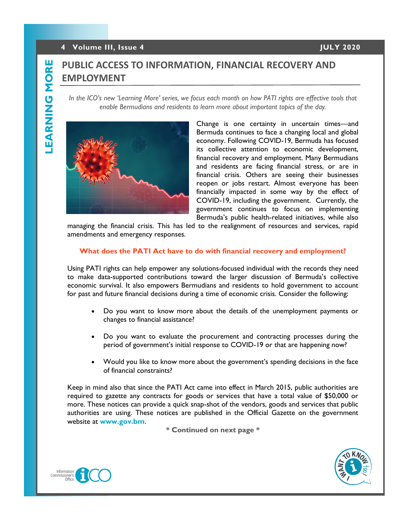### **4 Volume III, Issue 4 JULY 2020**

# **PUBLIC ACCESS TO INFORMATION, FINANCIAL RECOVERY AND EMPLOYMENT**

*In the ICO's new 'Learning More' series, we focus each month on how PATI rights are effective tools that enable Bermudians and residents to learn more about important topics of the day.*



Change is one certainty in uncertain times—and Bermuda continues to face a changing local and global economy. Following COVID-19, Bermuda has focused its collective attention to economic development, financial recovery and employment. Many Bermudians and residents are facing financial stress, or are in financial crisis. Others are seeing their businesses reopen or jobs restart. Almost everyone has been financially impacted in some way by the effect of COVID-19, including the government. Currently, the government continues to focus on implementing Bermuda's public health-related initiatives, while also

managing the financial crisis. This has led to the realignment of resources and services, rapid amendments and emergency responses.

### **What does the PATI Act have to do with financial recovery and employment?**

Using PATI rights can help empower any solutions-focused individual with the records they need to make data-supported contributions toward the larger discussion of Bermuda's collective economic survival. It also empowers Bermudians and residents to hold government to account for past and future financial decisions during a time of economic crisis. Consider the following:

- Do you want to know more about the details of the unemployment payments or changes to financial assistance?
- Do you want to evaluate the procurement and contracting processes during the period of government's initial response to COVID-19 or that are happening now?
- Would you like to know more about the government's spending decisions in the face of financial constraints?

Keep in mind also that since the PATI Act came into effect in March 2015, public authorities are required to gazette any contracts for goods or services that have a total value of \$50,000 or more. These notices can provide a quick snap-shot of the vendors, goods and services that public authorities are using. These notices are published in the Official Gazette on the government website at **[www.gov.bm](https://www.gov.bm/theofficialgazette/notices?combine=GN)**.

**\* Continued on next page \***